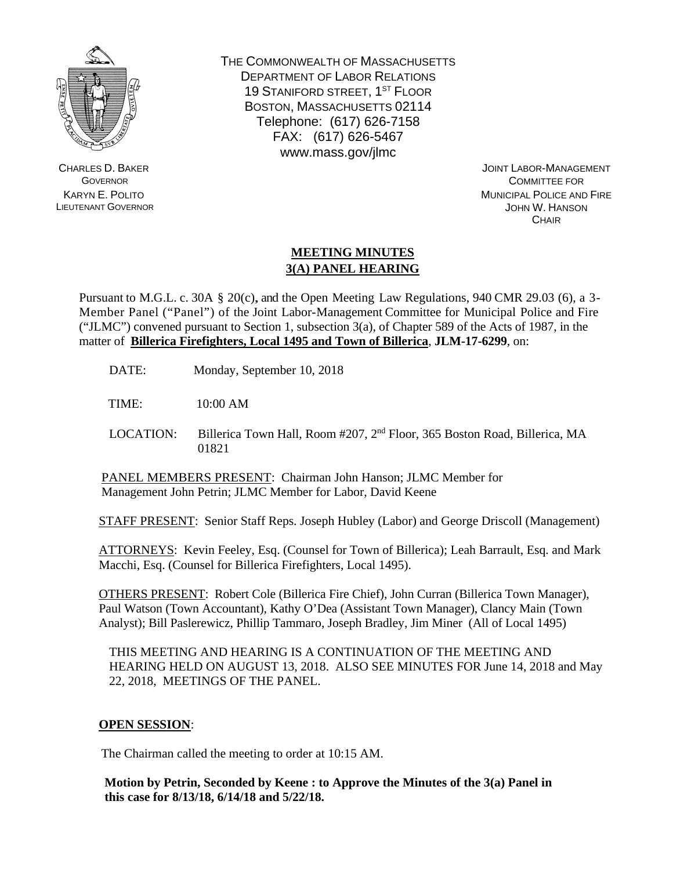

CHARLES D. BAKER **GOVERNOR** KARYN E. POLITO LIEUTENANT GOVERNOR THE COMMONWEALTH OF MASSACHUSETTS DEPARTMENT OF LABOR RELATIONS 19 STANIFORD STREET, 1ST FLOOR BOSTON, MASSACHUSETTS 02114 Telephone: (617) 626-7158 FAX: (617) 626-5467 www.mass.gov/jlmc

> JOINT LABOR-MANAGEMENT COMMITTEE FOR MUNICIPAL POLICE AND FIRE JOHN W. HANSON **CHAIR**

## **MEETING MINUTES 3(A) PANEL HEARING**

Pursuant to M.G.L. c. 30A § 20(c), and the Open Meeting Law Regulations, 940 CMR 29.03 (6), a 3- Member Panel ("Panel") of the Joint Labor-Management Committee for Municipal Police and Fire ("JLMC") convened pursuant to Section 1, subsection  $3(a)$ , of Chapter 589 of the Acts of 1987, in the matter of **Billerica Firefighters, Local 1495 and Town of Billerica**, **JLM-17-6299**, on:

DATE: Monday, September 10, 2018

TIME: 10:00 AM

LOCATION: Billerica Town Hall, Room #207, 2<sup>nd</sup> Floor, 365 Boston Road, Billerica, MA 01821

PANEL MEMBERS PRESENT: Chairman John Hanson; JLMC Member for Management John Petrin; JLMC Member for Labor, David Keene

STAFF PRESENT: Senior Staff Reps. Joseph Hubley (Labor) and George Driscoll (Management)

ATTORNEYS: Kevin Feeley, Esq. (Counsel for Town of Billerica); Leah Barrault, Esq. and Mark Macchi, Esq. (Counsel for Billerica Firefighters, Local 1495).

OTHERS PRESENT: Robert Cole (Billerica Fire Chief), John Curran (Billerica Town Manager), Paul Watson (Town Accountant), Kathy O'Dea (Assistant Town Manager), Clancy Main (Town Analyst); Bill Paslerewicz, Phillip Tammaro, Joseph Bradley, Jim Miner (All of Local 1495)

THIS MEETING AND HEARING IS A CONTINUATION OF THE MEETING AND HEARING HELD ON AUGUST 13, 2018. ALSO SEE MINUTES FOR June 14, 2018 and May 22, 2018, MEETINGS OF THE PANEL.

## **OPEN SESSION**:

The Chairman called the meeting to order at 10:15 AM.

**Motion by Petrin, Seconded by Keene : to Approve the Minutes of the 3(a) Panel in this case for 8/13/18, 6/14/18 and 5/22/18.**